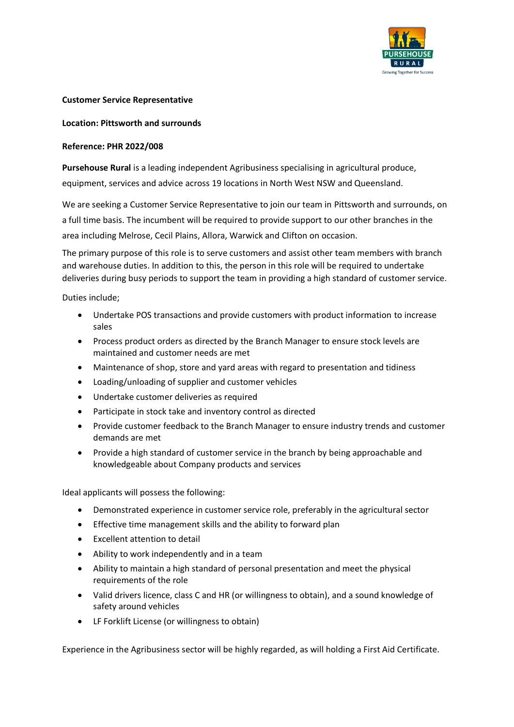

## **Customer Service Representative**

## **Location: Pittsworth and surrounds**

## **Reference: PHR 2022/008**

**Pursehouse Rural** is a leading independent Agribusiness specialising in agricultural produce, equipment, services and advice across 19 locations in North West NSW and Queensland.

We are seeking a Customer Service Representative to join our team in Pittsworth and surrounds, on a full time basis. The incumbent will be required to provide support to our other branches in the area including Melrose, Cecil Plains, Allora, Warwick and Clifton on occasion.

The primary purpose of this role is to serve customers and assist other team members with branch and warehouse duties. In addition to this, the person in this role will be required to undertake deliveries during busy periods to support the team in providing a high standard of customer service.

Duties include;

- Undertake POS transactions and provide customers with product information to increase sales
- Process product orders as directed by the Branch Manager to ensure stock levels are maintained and customer needs are met
- Maintenance of shop, store and yard areas with regard to presentation and tidiness
- Loading/unloading of supplier and customer vehicles
- Undertake customer deliveries as required
- Participate in stock take and inventory control as directed
- Provide customer feedback to the Branch Manager to ensure industry trends and customer demands are met
- Provide a high standard of customer service in the branch by being approachable and knowledgeable about Company products and services

Ideal applicants will possess the following:

- Demonstrated experience in customer service role, preferably in the agricultural sector
- Effective time management skills and the ability to forward plan
- Excellent attention to detail
- Ability to work independently and in a team
- Ability to maintain a high standard of personal presentation and meet the physical requirements of the role
- Valid drivers licence, class C and HR (or willingness to obtain), and a sound knowledge of safety around vehicles
- LF Forklift License (or willingness to obtain)

Experience in the Agribusiness sector will be highly regarded, as will holding a First Aid Certificate.